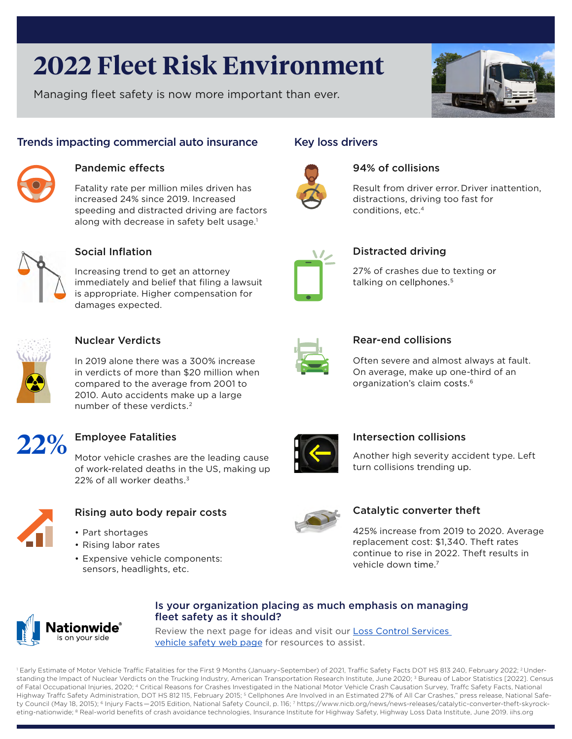# **2022 Fleet Risk Environment**

Managing fleet safety is now more important than ever.



# Trends impacting commercial auto insurance



## Pandemic effects

Fatality rate per million miles driven has increased 24% since 2019. Increased speeding and distracted driving are factors along with decrease in safety belt usage.<sup>1</sup>



# Social Inflation

Increasing trend to get an attorney immediately and belief that filing a lawsuit is appropriate. Higher compensation for damages expected.



## Nuclear Verdicts

In 2019 alone there was a 300% increase in verdicts of more than \$20 million when compared to the average from 2001 to 2010. Auto accidents make up a large number of these verdicts.2



# Employee Fatalities

Motor vehicle crashes are the leading cause of work-related deaths in the US, making up 22% of all worker deaths.<sup>3</sup>



# Rising auto body repair costs

- Part shortages
- Rising labor rates
- Expensive vehicle components: sensors, headlights, etc.





## 94% of collisions

Result from driver error. Driver inattention, distractions, driving too fast for conditions, etc.4



# Distracted driving

27% of crashes due to texting or talking on cellphones.<sup>5</sup>

## Rear-end collisions

Often severe and almost always at fault. On average, make up one-third of an organization's claim costs.6



## Intersection collisions

Another high severity accident type. Left turn collisions trending up.



## Catalytic converter theft

425% increase from 2019 to 2020. Average replacement cost: \$1,340. Theft rates continue to rise in 2022. Theft results in vehicle down time.<sup>7</sup>



## Is your organization placing as much emphasis on managing fleet safety as it should?

Review the next page for ideas and visit our **Loss Control Services** [vehicle safety web page](https://www.mylosscontrolservices.com/learning-center/vehicles) for resources to assist.

<sup>1</sup> Early Estimate of Motor Vehicle Traffic Fatalities for the First 9 Months (January–September) of 2021, Traffic Safety Facts DOT HS 813 240, February 2022; <sup>2</sup> Understanding the Impact of Nuclear Verdicts on the Trucking Industry, American Transportation Research Institute, June 2020;<sup>3</sup> Bureau of Labor Statistics [2022]. Census of Fatal Occupational Injuries, 2020; <sup>4</sup> Critical Reasons for Crashes Investigated in the National Motor Vehicle Crash Causation Survey, Traffc Safety Facts, National Highway Traffc Safety Administration, DOT HS 812 115, February 2015; <sup>5</sup> Cellphones Are Involved in an Estimated 27% of All Car Crashes," press release, National Safety Council (May 18, 2015); 6 Injury Facts — 2015 Edition, National Safety Council, p. 116; 7 https://www.nicb.org/news/news-releases/catalytic-converter-theft-skyrocketing-nationwide; <sup>8</sup> Real-world benefits of crash avoidance technologies, Insurance Institute for Highway Safety, Highway Loss Data Institute, June 2019. iihs.org